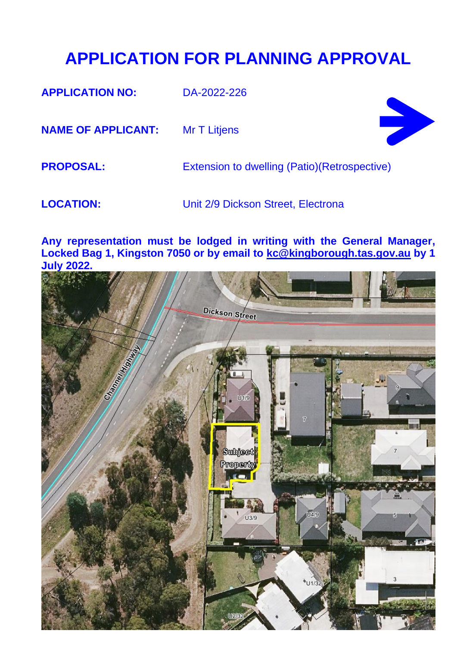## **APPLICATION FOR PLANNING APPROVAL**

**APPLICATION NO:** DA-2022-226

**NAME OF APPLICANT:** Mr T Litjens



**PROPOSAL:** Extension to dwelling (Patio)(Retrospective)

**LOCATION:** Unit 2/9 Dickson Street, Electrona

**Any representation must be lodged in writing with the General Manager, Locked Bag 1, Kingston 7050 or by email to [kc@kingborough.tas.gov.au](mailto:kc@kingborough.tas.gov.au) by 1 July 2022.**

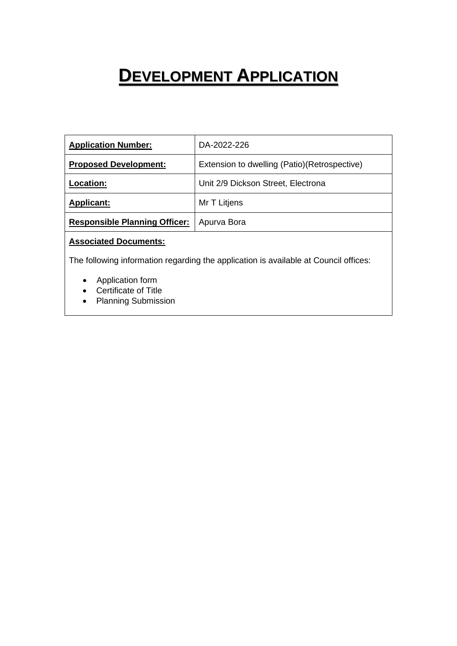# **DEVELOPMENT APPLICATION**

| <b>Application Number:</b>           | DA-2022-226                                   |
|--------------------------------------|-----------------------------------------------|
| <b>Proposed Development:</b>         | Extension to dwelling (Patio) (Retrospective) |
| <b>Location:</b>                     | Unit 2/9 Dickson Street, Electrona            |
| <b>Applicant:</b>                    | Mr T Litjens                                  |
| <b>Responsible Planning Officer:</b> | Apurva Bora                                   |

## **Associated Documents:**

The following information regarding the application is available at Council offices:

- Application form
- Certificate of Title
- Planning Submission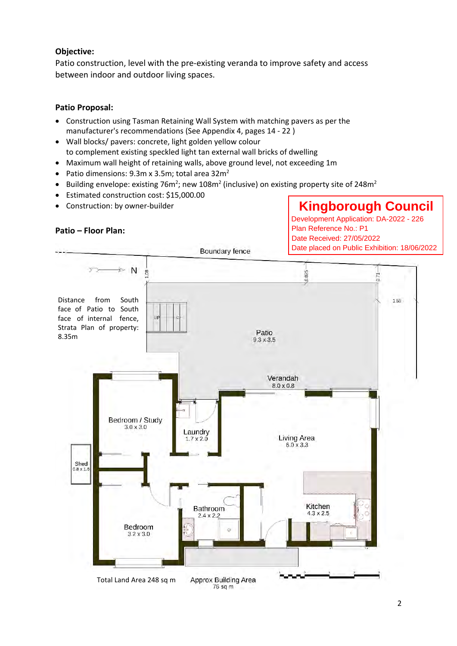### **Objective:**

Patio construction, level with the pre-existing veranda to improve safety and access between indoor and outdoor living spaces.

### **Patio Proposal:**

- Construction using Tasman Retaining Wall System with matching pavers as per the manufacturer's recommendations (See Appendix 4, pages 14 - 22 )
- Wall blocks/ pavers: concrete, light golden yellow colour to complement existing speckled light tan external wall bricks of dwelling
- Maximum wall height of retaining walls, above ground level, not exceeding 1m
- Patio dimensions:  $9.3$ m x  $3.5$ m; total area  $32$ m<sup>2</sup>
- Building envelope: existing 76m<sup>2</sup>; new 108m<sup>2</sup> (inclusive) on existing property site of 248m<sup>2</sup>
- Estimated construction cost: \$15,000.00
- Construction: by owner-builder

#### **Patio – Floor Plan:**

**Kingborough Council**<br>Development Application: DA-2022 - 226<br>Plan Reference No.: P1<br>Date Received: 27/05/2022<br>Date placed on Public Exhibition: 18/06/2022

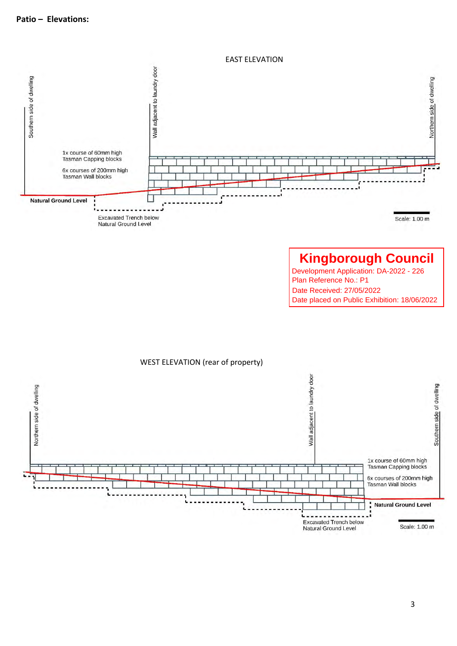EAST ELEVATION



**Kingborough Council**<br>Development Application: DA-2022 - 226<br>Plan Reference No.: P1<br>Date Received: 27/05/2022<br>Date placed on Public Exhibition: 18/06/2022